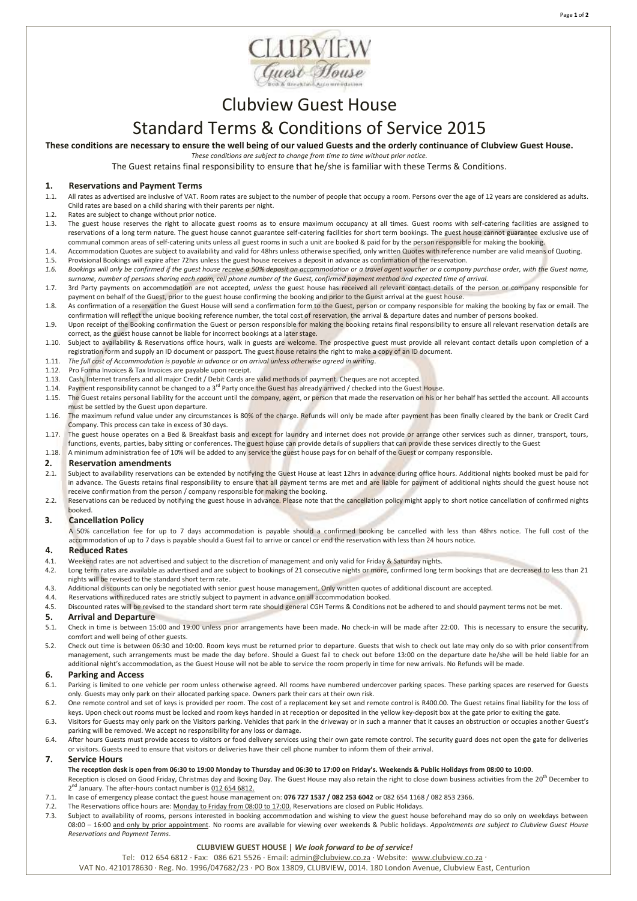



# Clubview Guest House

## Standard Terms & Conditions of Service 2015

**These conditions are necessary to ensure the well being of our valued Guests and the orderly continuance of Clubview Guest House.**

*These conditions are subject to change from time to time without prior notice.*

The Guest retains final responsibility to ensure that he/she is familiar with these Terms & Conditions.

## **1. Reservations and Payment Terms**

- 1.1. All rates as advertised are inclusive of VAT. Room rates are subject to the number of people that occupy a room. Persons over the age of 12 years are considered as adults. Child rates are based on a child sharing with their parents per night.
- 1.2. Rates are subject to change without prior notice.
- 1.3. The guest house reserves the right to allocate guest rooms as to ensure maximum occupancy at all times. Guest rooms with self-catering facilities are assigned to reservations of a long term nature. The guest house cannot guarantee self-catering facilities for short term bookings. The guest house cannot guarantee exclusive use of communal common areas of self-catering units unless all guest rooms in such a unit are booked & paid for by the person responsible for making the booking.
- 1.4. Accommodation Quotes are subject to availability and valid for 48hrs unless otherwise specified, only written Quotes with reference number are valid means of Quoting. 1.5. Provisional Bookings will expire after 72hrs unless the guest house receives a deposit in advance as confirmation of the reservation.
- 1.6. Bookings will only be confirmed if the guest house receive a 50% deposit on accommodation or a travel agent voucher or a company purchase order, with the Guest name, *surname, number of persons sharing each room, cell phone number of the Guest, confirmed payment method and expected time of arrival.*
- 1.7. 3rd Party payments on accommodation are not accepted, *unless* the guest house has received all relevant contact details of the person or company responsible for payment on behalf of the Guest, prior to the guest house confirming the booking and prior to the Guest arrival at the guest house
- 1.8. As confirmation of a reservation the Guest House will send a confirmation form to the Guest, person or company responsible for making the booking by fax or email. The confirmation will reflect the unique booking reference number, the total cost of reservation, the arrival & departure dates and number of persons booked.
- 1.9. Upon receipt of the Booking confirmation the Guest or person responsible for making the booking retains final responsibility to ensure all relevant reservation details are correct, as the guest house cannot be liable for incorrect bookings at a later stage.
- 1.10. Subject to availability & Reservations office hours, walk in guests are welcome. The prospective guest must provide all relevant contact details upon completion of a registration form and supply an ID document or passport. The guest house retains the right to make a copy of an ID document.
- 1.11. *The full cost of Accommodation is payable in advance or on arrival unless otherwise agreed in writing.*
- 1.12. Pro Forma Invoices & Tax Invoices are payable upon receipt.
- 1.13. Cash, Internet transfers and all major Credit / Debit Cards are valid methods of payment. Cheques are not accepted.
- 1.14. Payment responsibility cannot be changed to a 3<sup>rd</sup> Party once the Guest has already arrived / checked into the Guest House.
- 1.15. The Guest retains personal liability for the account until the company, agent, or person that made the reservation on his or her behalf has settled the account. All accounts must be settled by the Guest upon departure.
- 1.16. The maximum refund value under any circumstances is 80% of the charge. Refunds will only be made after payment has been finally cleared by the bank or Credit Card Company. This process can take in excess of 30 days.
- 1.17. The guest house operates on a Bed & Breakfast basis and except for laundry and internet does not provide or arrange other services such as dinner, transport, tours, functions, events, parties, baby sitting or conferences. The guest house can provide details of suppliers that can provide these services directly to the Guest
- 1.18. A minimum administration fee of 10% will be added to any service the guest house pays for on behalf of the Guest or company responsible.

## **2. Reservation amendments**<br>**2.1.** Subject to availability reservations

- Subject to availability reservations can be extended by notifying the Guest House at least 12hrs in advance during office hours. Additional nights booked must be paid for in advance. The Guests retains final responsibility to ensure that all payment terms are met and are liable for payment of additional nights should the guest house not receive confirmation from the person / company responsible for making the booking.
- 2.2. Reservations can be reduced by notifying the guest house in advance. Please note that the cancellation policy might apply to short notice cancellation of confirmed nights booked.

## **3. Cancellation Policy**

A 50% cancellation fee for up to 7 days accommodation is payable should a confirmed booking be cancelled with less than 48hrs notice. The full cost of the accommodation of up to 7 days is payable should a Guest fail to arrive or cancel or end the reservation with less than 24 hours notice.

## **4. Reduced Rates**

- Weekend rates are not advertised and subject to the discretion of management and only valid for Friday & Saturday nights.
- 4.2. Long term rates are available as advertised and are subject to bookings of 21 consecutive nights or more, confirmed long term bookings that are decreased to less than 21 nights will be revised to the standard short term rate.
- 4.3. Additional discounts can only be negotiated with senior guest house management. Only written quotes of additional discount are accepted.
- 4.4. Reservations with reduced rates are strictly subject to payment in advance on all accommodation booked.<br>4.5. Discounted rates will be revised to the standard short term rate should general CGH Terms & Conditions n
- Discounted rates will be revised to the standard short term rate should general CGH Terms & Conditions not be adhered to and should payment terms not be met.

## **5. Arrival and Departure**<br>5.1. **Check in time is between 15**

- 5.1. Check in time is between 15:00 and 19:00 unless prior arrangements have been made. No check-in will be made after 22:00. This is necessary to ensure the security, comfort and well being of other guests.
- 5.2. Check out time is between 06:30 and 10:00. Room keys must be returned prior to departure. Guests that wish to check out late may only do so with prior consent from management, such arrangements must be made the day before. Should a Guest fail to check out before 13:00 on the departure date he/she will be held liable for an additional night's accommodation, as the Guest House will not be able to service the room properly in time for new arrivals. No Refunds will be made.

## **6. Parking and Access**

- 6.1. Parking is limited to one vehicle per room unless otherwise agreed. All rooms have numbered undercover parking spaces. These parking spaces are reserved for Guests only. Guests may only park on their allocated parking space. Owners park their cars at their own risk.
- 6.2. One remote control and set of keys is provided per room. The cost of a replacement key set and remote control is R400.00. The Guest retains final liability for the loss of keys. Upon check out rooms must be locked and room keys handed in at reception or deposited in the yellow key-deposit box at the gate prior to exiting the gate.
- 6.3. Visitors for Guests may only park on the Visitors parking. Vehicles that park in the driveway or in such a manner that it causes an obstruction or occupies another Guest's parking will be removed. We accept no responsibility for any loss or damage.
- 6.4. After hours Guests must provide access to visitors or food delivery services using their own gate remote control. The security guard does not open the gate for deliveries or visitors. Guests need to ensure that visitors or deliveries have their cell phone number to inform them of their arrival.

### **7. Service Hours**

- **The reception desk is open from 06:30 to 19:00 Monday to Thursday and 06:30 to 17:00 on Friday's. Weekends & Public Holidays from 08:00 to 10:00**.
- Reception is closed on Good Friday, Christmas day and Boxing Day. The Guest House may also retain the right to close down business activities from the 20<sup>th</sup> December to 2<sup>nd</sup> January. The after-hours contact number is 012 654 6812.
- 7.1. In case of emergency please contact the guest house management on: **076 727 1537 / 082 253 6042** or 082 654 1168 / 082 853 2366.
- 7.2. The Reservations office hours are: Monday to Friday from 08:00 to 17:00. Reservations are closed on Public Holidays.
- 7.3. Subject to availability of rooms, persons interested in booking accommodation and wishing to view the guest house beforehand may do so only on weekdays between 08:00 – 16:00 and only by prior appointment. No rooms are available for viewing over weekends & Public holidays. *Appointments are subject to Clubview Guest House Reservations and Payment Terms*.

### **CLUBVIEW GUEST HOUSE |** *We look forward to be of service!*

Tel: 012 654 6812 ∙ Fax: 086 621 5526 ∙ Email: [admin@clubview.co.za](mailto:admin@clubview.co.za) ∙ Website: [www.clubview.co.za](http://www.clubview.co.za/) ∙

VAT No. 4210178630 ∙ Reg. No. 1996/047682/23 ∙ PO Box 13809, CLUBVIEW, 0014. 180 London Avenue, Clubview East, Centurion